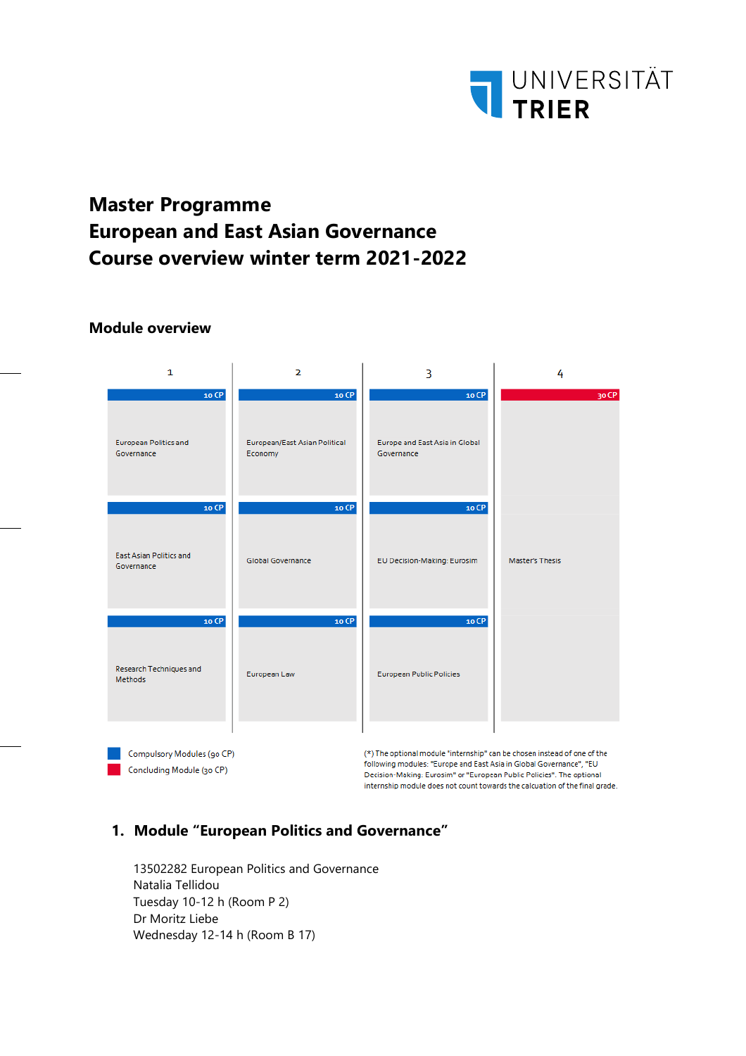

# **Master Programme European and East Asian Governance Course overview winter term 2021-2022**

#### **Module overview**

| 1                                                                                                                                                                                                                                                                                   | $\overline{2}$                           | 3                                            | 4               |
|-------------------------------------------------------------------------------------------------------------------------------------------------------------------------------------------------------------------------------------------------------------------------------------|------------------------------------------|----------------------------------------------|-----------------|
| 10 CP                                                                                                                                                                                                                                                                               | 10 CP                                    | 10 CP                                        | 30 CP           |
| <b>European Politics and</b><br>Governance                                                                                                                                                                                                                                          | European/East Asian Political<br>Economy | Europe and East Asia in Global<br>Governance |                 |
| 10 CP<br><b>East Asian Politics and</b><br>Governance                                                                                                                                                                                                                               | 10 CP<br><b>Global Governance</b>        | 10 CP<br>EU Decision-Making: Eurosim         | Master's Thesis |
| 10 CP<br>Research Techniques and<br><b>Methods</b>                                                                                                                                                                                                                                  | 10 CP<br>European Law                    | 10 CP<br><b>European Public Policies</b>     |                 |
| Compulsory Modules (90 CP)<br>(*) The optional module "internship" can be chosen instead of one of the<br>following modules: "Europe and East Asia in Global Governance", "EU<br>Concluding Module (30 CP)<br>Decision-Making: Eurosim" or "European Public Policies". The optional |                                          |                                              |                 |

internship module does not count towards the calcuation of the final grade.

## **1. Module "European Politics and Governance"**

13502282 European Politics and Governance Natalia Tellidou Tuesday 10-12 h (Room P 2) Dr Moritz Liebe Wednesday 12-14 h (Room B 17)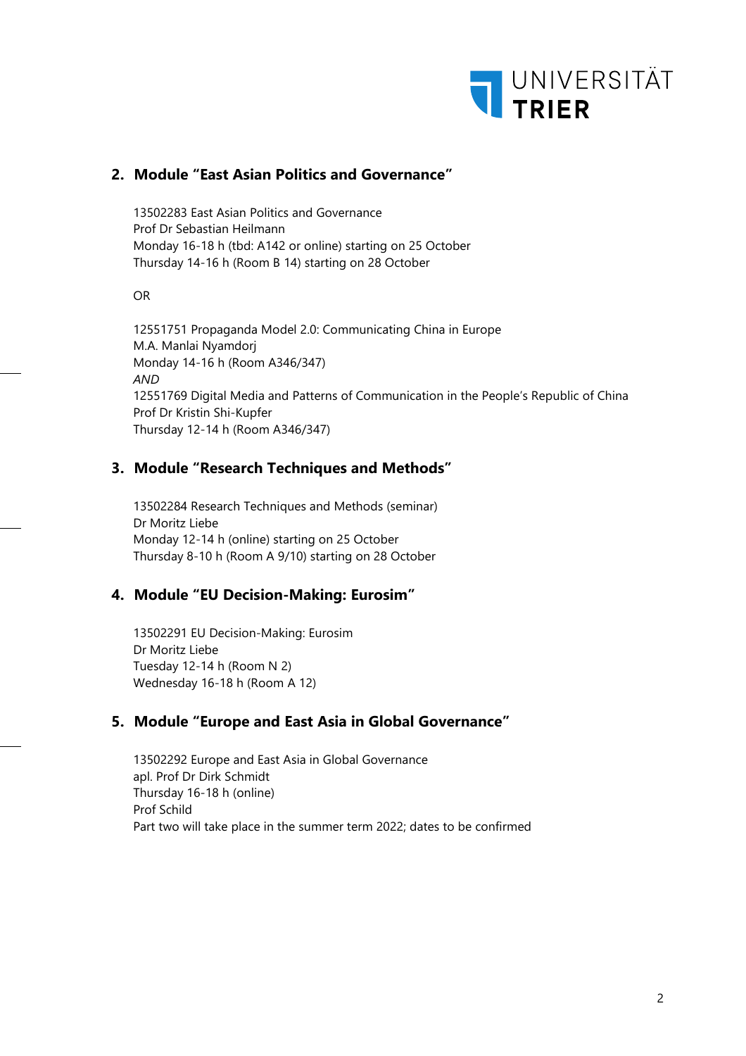

### **2. Module "East Asian Politics and Governance"**

13502283 East Asian Politics and Governance Prof Dr Sebastian Heilmann Monday 16-18 h (tbd: A142 or online) starting on 25 October Thursday 14-16 h (Room B 14) starting on 28 October

OR

12551751 Propaganda Model 2.0: Communicating China in Europe M.A. Manlai Nyamdorj Monday 14-16 h (Room A346/347) *AND* 12551769 Digital Media and Patterns of Communication in the People's Republic of China Prof Dr Kristin Shi-Kupfer Thursday 12-14 h (Room A346/347)

#### **3. Module "Research Techniques and Methods"**

13502284 Research Techniques and Methods (seminar) Dr Moritz Liebe Monday 12-14 h (online) starting on 25 October Thursday 8-10 h (Room A 9/10) starting on 28 October

#### **4. Module "EU Decision-Making: Eurosim"**

13502291 EU Decision-Making: Eurosim Dr Moritz Liebe Tuesday 12-14 h (Room N 2) Wednesday 16-18 h (Room A 12)

#### **5. Module "Europe and East Asia in Global Governance"**

13502292 Europe and East Asia in Global Governance apl. Prof Dr Dirk Schmidt Thursday 16-18 h (online) Prof Schild Part two will take place in the summer term 2022; dates to be confirmed